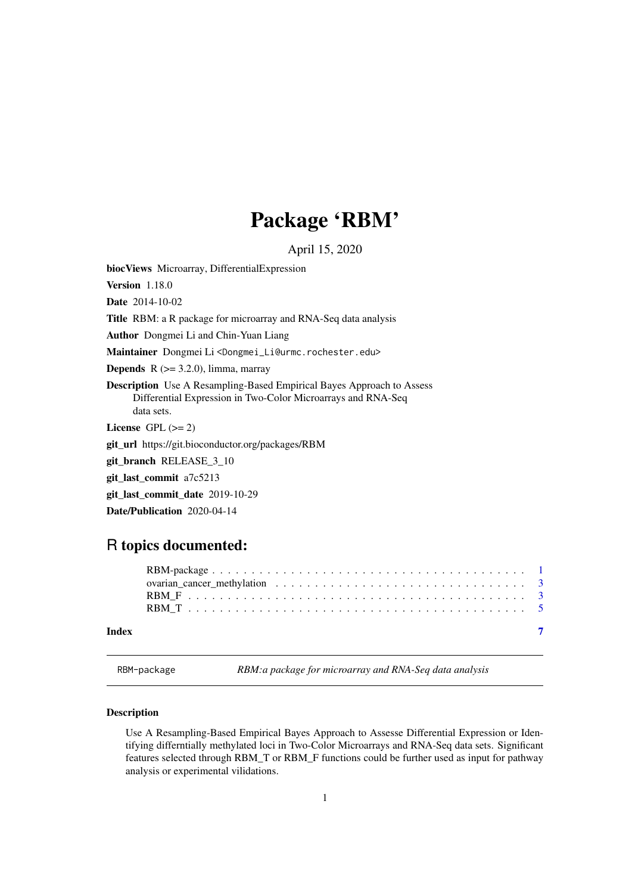## Package 'RBM'

April 15, 2020

<span id="page-0-0"></span>biocViews Microarray, DifferentialExpression

Version 1.18.0

Date 2014-10-02

Title RBM: a R package for microarray and RNA-Seq data analysis

Author Dongmei Li and Chin-Yuan Liang

Maintainer Dongmei Li <Dongmei\_Li@urmc.rochester.edu>

**Depends**  $R$  ( $>= 3.2.0$ ), limma, marray

Description Use A Resampling-Based Empirical Bayes Approach to Assess Differential Expression in Two-Color Microarrays and RNA-Seq data sets.

License GPL  $(>= 2)$ 

git\_url https://git.bioconductor.org/packages/RBM

git branch RELEASE 3 10

git\_last\_commit a7c5213

git last commit date 2019-10-29

Date/Publication 2020-04-14

### R topics documented:

| Index |  |
|-------|--|

RBM-package *RBM:a package for microarray and RNA-Seq data analysis*

#### Description

Use A Resampling-Based Empirical Bayes Approach to Assesse Differential Expression or Identifying differntially methylated loci in Two-Color Microarrays and RNA-Seq data sets. Significant features selected through RBM\_T or RBM\_F functions could be further used as input for pathway analysis or experimental vilidations.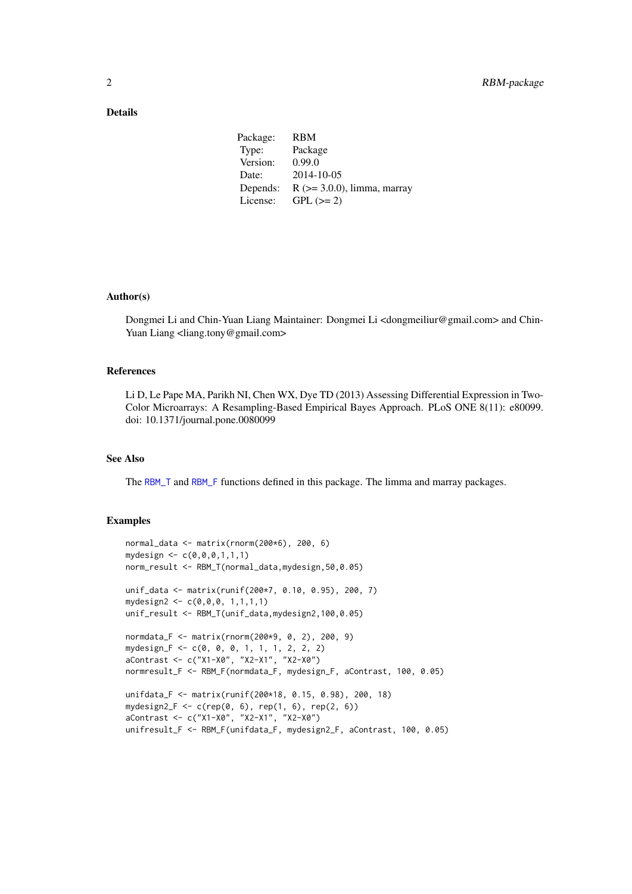#### <span id="page-1-0"></span>Details

| Package: | RBM                              |
|----------|----------------------------------|
| Type:    | Package                          |
| Version: | 0.99.0                           |
| Date:    | 2014-10-05                       |
| Depends: | $R$ ( $>=$ 3.0.0), limma, marray |
| License: | $GPL (=2)$                       |

#### Author(s)

Dongmei Li and Chin-Yuan Liang Maintainer: Dongmei Li <dongmeiliur@gmail.com> and Chin-Yuan Liang <liang.tony@gmail.com>

#### References

Li D, Le Pape MA, Parikh NI, Chen WX, Dye TD (2013) Assessing Differential Expression in Two-Color Microarrays: A Resampling-Based Empirical Bayes Approach. PLoS ONE 8(11): e80099. doi: 10.1371/journal.pone.0080099

#### See Also

The [RBM\\_T](#page-4-1) and [RBM\\_F](#page-2-1) functions defined in this package. The limma and marray packages.

#### Examples

```
normal data \leq matrix(rnorm(200\star6), 200, 6)
mydesign \leq c(0, 0, 0, 1, 1, 1)norm_result <- RBM_T(normal_data,mydesign,50,0.05)
unif_data <- matrix(runif(200*7, 0.10, 0.95), 200, 7)
mydesign2 <- c(0,0,0, 1,1,1,1)
unif_result <- RBM_T(unif_data,mydesign2,100,0.05)
normdata_F <- matrix(rnorm(200*9, 0, 2), 200, 9)
mydesign_F <- c(0, 0, 0, 1, 1, 1, 2, 2, 2)
aContrast <- c("X1-X0", "X2-X1", "X2-X0")
normresult_F <- RBM_F(normdata_F, mydesign_F, aContrast, 100, 0.05)
unifdata_F <- matrix(runif(200*18, 0.15, 0.98), 200, 18)
mydesign2_F <- c(rep(0, 6), rep(1, 6), rep(2, 6))
aContrast <- c("X1-X0", "X2-X1", "X2-X0")
unifresult_F <- RBM_F(unifdata_F, mydesign2_F, aContrast, 100, 0.05)
```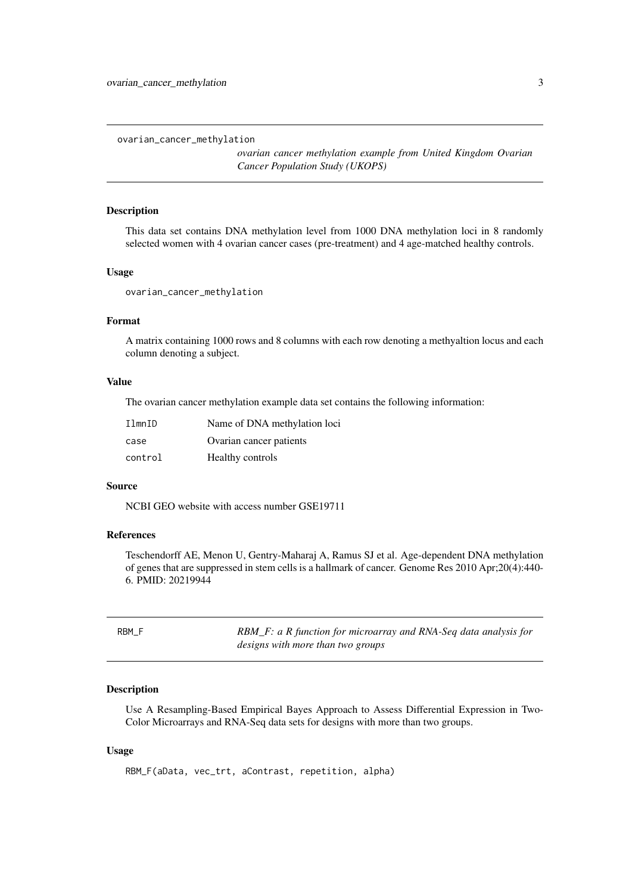<span id="page-2-0"></span>ovarian\_cancer\_methylation

*ovarian cancer methylation example from United Kingdom Ovarian Cancer Population Study (UKOPS)*

#### Description

This data set contains DNA methylation level from 1000 DNA methylation loci in 8 randomly selected women with 4 ovarian cancer cases (pre-treatment) and 4 age-matched healthy controls.

#### Usage

ovarian\_cancer\_methylation

#### Format

A matrix containing 1000 rows and 8 columns with each row denoting a methyaltion locus and each column denoting a subject.

#### Value

The ovarian cancer methylation example data set contains the following information:

| IlmnID  | Name of DNA methylation loci |
|---------|------------------------------|
| case    | Ovarian cancer patients      |
| control | Healthy controls             |

#### Source

NCBI GEO website with access number GSE19711

#### References

Teschendorff AE, Menon U, Gentry-Maharaj A, Ramus SJ et al. Age-dependent DNA methylation of genes that are suppressed in stem cells is a hallmark of cancer. Genome Res 2010 Apr;20(4):440- 6. PMID: 20219944

<span id="page-2-1"></span>

| RBM F | RBM_F: a R function for microarray and RNA-Seq data analysis for |
|-------|------------------------------------------------------------------|
|       | designs with more than two groups                                |

#### Description

Use A Resampling-Based Empirical Bayes Approach to Assess Differential Expression in Two-Color Microarrays and RNA-Seq data sets for designs with more than two groups.

#### Usage

```
RBM_F(aData, vec_trt, aContrast, repetition, alpha)
```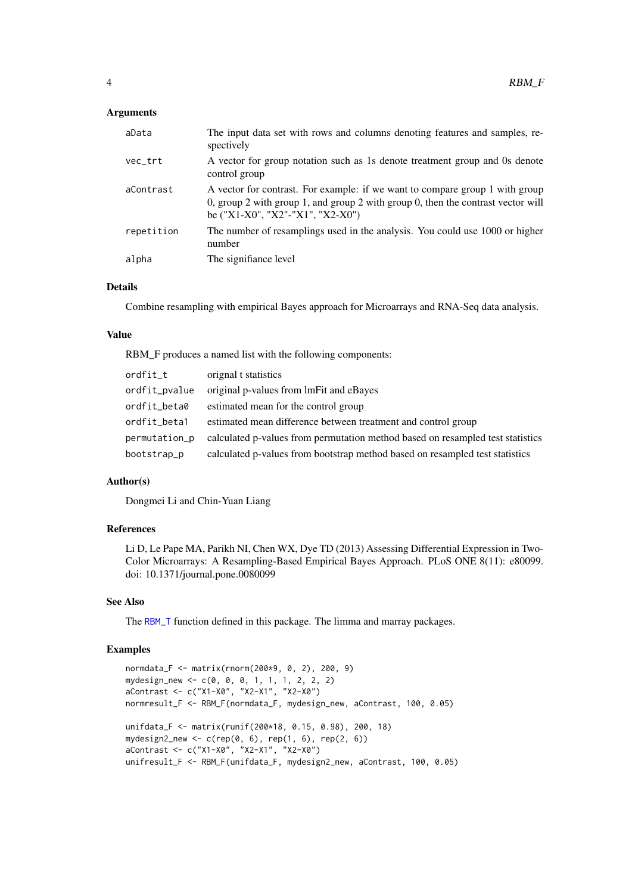#### <span id="page-3-0"></span>Arguments

| aData      | The input data set with rows and columns denoting features and samples, re-<br>spectively                                                                                                               |
|------------|---------------------------------------------------------------------------------------------------------------------------------------------------------------------------------------------------------|
| vec_trt    | A vector for group notation such as 1s denote treatment group and 0s denote<br>control group                                                                                                            |
| aContrast  | A vector for contrast. For example: if we want to compare group 1 with group<br>0, group 2 with group 1, and group 2 with group 0, then the contrast vector will<br>be $("X1-X0", "X2"- "X1", "X2-X0")$ |
| repetition | The number of resamplings used in the analysis. You could use 1000 or higher<br>number                                                                                                                  |
| alpha      | The signifiance level                                                                                                                                                                                   |
|            |                                                                                                                                                                                                         |

#### Details

Combine resampling with empirical Bayes approach for Microarrays and RNA-Seq data analysis.

#### Value

RBM\_F produces a named list with the following components:

| ordfit_t      | orignal t statistics                                                           |
|---------------|--------------------------------------------------------------------------------|
| ordfit_pvalue | original p-values from lmFit and eBayes                                        |
| ordfit_beta0  | estimated mean for the control group                                           |
| ordfit_beta1  | estimated mean difference between treatment and control group                  |
| permutation_p | calculated p-values from permutation method based on resampled test statistics |
| bootstrap_p   | calculated p-values from bootstrap method based on resampled test statistics   |

#### Author(s)

Dongmei Li and Chin-Yuan Liang

#### References

Li D, Le Pape MA, Parikh NI, Chen WX, Dye TD (2013) Assessing Differential Expression in Two-Color Microarrays: A Resampling-Based Empirical Bayes Approach. PLoS ONE 8(11): e80099. doi: 10.1371/journal.pone.0080099

#### See Also

The [RBM\\_T](#page-4-1) function defined in this package. The limma and marray packages.

#### Examples

```
normdata_F <- matrix(rnorm(200*9, 0, 2), 200, 9)
mydesign_new <- c(0, 0, 0, 1, 1, 1, 2, 2, 2)
aContrast <- c("X1-X0", "X2-X1", "X2-X0")
normresult_F <- RBM_F(normdata_F, mydesign_new, aContrast, 100, 0.05)
unifdata_F <- matrix(runif(200*18, 0.15, 0.98), 200, 18)
mydesign2_new <- c(rep(\theta, 6), rep(1, 6), rep(2, 6))aContrast <- c("X1-X0", "X2-X1", "X2-X0")
unifresult_F <- RBM_F(unifdata_F, mydesign2_new, aContrast, 100, 0.05)
```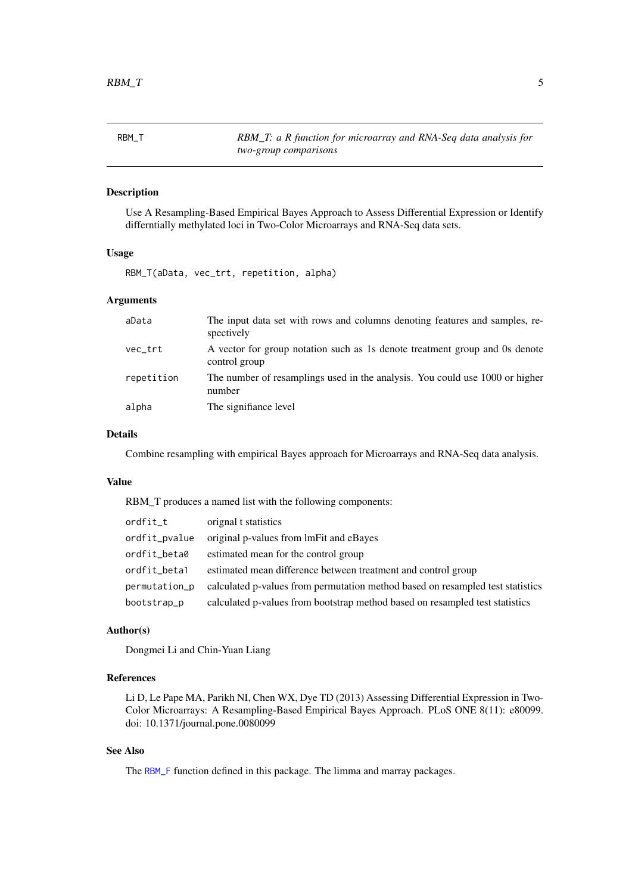<span id="page-4-1"></span><span id="page-4-0"></span>

| RBM T | RBM_T: a R function for microarray and RNA-Seq data analysis for |
|-------|------------------------------------------------------------------|
|       | two-group comparisons                                            |

#### Description

Use A Resampling-Based Empirical Bayes Approach to Assess Differential Expression or Identify differntially methylated loci in Two-Color Microarrays and RNA-Seq data sets.

#### Usage

RBM\_T(aData, vec\_trt, repetition, alpha)

#### Arguments

| aData      | The input data set with rows and columns denoting features and samples, re-<br>spectively    |
|------------|----------------------------------------------------------------------------------------------|
| vec_trt    | A vector for group notation such as 1s denote treatment group and 0s denote<br>control group |
| repetition | The number of resamplings used in the analysis. You could use 1000 or higher<br>number       |
| alpha      | The signifiance level                                                                        |

#### Details

Combine resampling with empirical Bayes approach for Microarrays and RNA-Seq data analysis.

#### Value

RBM\_T produces a named list with the following components:

| ordfit_t      | orignal t statistics                                                           |
|---------------|--------------------------------------------------------------------------------|
| ordfit_pvalue | original p-values from lmFit and eBayes                                        |
| ordfit_beta0  | estimated mean for the control group                                           |
| ordfit_beta1  | estimated mean difference between treatment and control group                  |
| permutation_p | calculated p-values from permutation method based on resampled test statistics |
| bootstrap_p   | calculated p-values from bootstrap method based on resampled test statistics   |

#### Author(s)

Dongmei Li and Chin-Yuan Liang

#### References

Li D, Le Pape MA, Parikh NI, Chen WX, Dye TD (2013) Assessing Differential Expression in Two-Color Microarrays: A Resampling-Based Empirical Bayes Approach. PLoS ONE 8(11): e80099. doi: 10.1371/journal.pone.0080099

#### See Also

The [RBM\\_F](#page-2-1) function defined in this package. The limma and marray packages.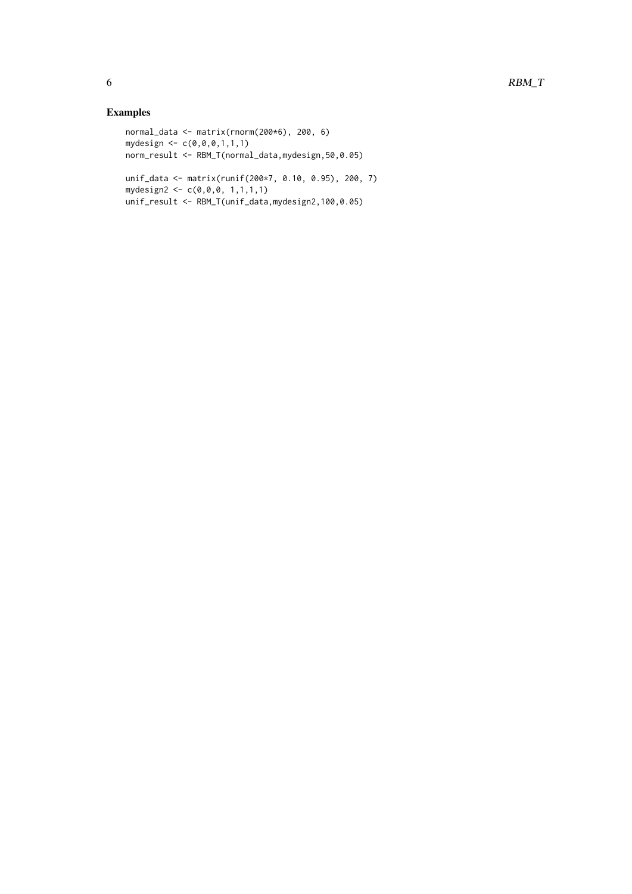#### Examples

```
normal_data <- matrix(rnorm(200*6), 200, 6)
mydesign <- c(0,0,0,1,1,1)
norm_result <- RBM_T(normal_data,mydesign,50,0.05)
unif_data <- matrix(runif(200*7, 0.10, 0.95), 200, 7)
```

```
mydesign2 <- c(0,0,0, 1,1,1,1)
```

```
unif_result <- RBM_T(unif_data,mydesign2,100,0.05)
```